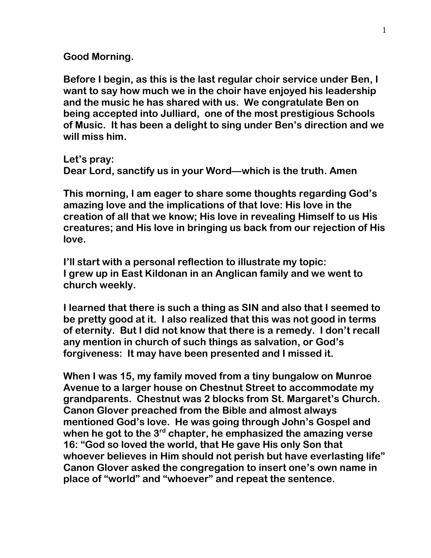**Good Morning.** 

**Before I begin, as this is the last regular choir service under Ben, I want to say how much we in the choir have enjoyed his leadership and the music he has shared with us. We congratulate Ben on being accepted into Julliard, one of the most prestigious Schools of Music. It has been a delight to sing under Ben's direction and we will miss him.**

**Let's pray: Dear Lord, sanctify us in your Word—which is the truth. Amen**

**This morning, I am eager to share some thoughts regarding God's amazing love and the implications of that love: His love in the creation of all that we know; His love in revealing Himself to us His creatures; and His love in bringing us back from our rejection of His love.**

**I'll start with a personal reflection to illustrate my topic: I grew up in East Kildonan in an Anglican family and we went to church weekly.** 

**I learned that there is such a thing as SIN and also that I seemed to be pretty good at it. I also realized that this was not good in terms of eternity. But I did not know that there is a remedy. I don't recall any mention in church of such things as salvation, or God's forgiveness: It may have been presented and I missed it.**

**When I was 15, my family moved from a tiny bungalow on Munroe Avenue to a larger house on Chestnut Street to accommodate my grandparents. Chestnut was 2 blocks from St. Margaret's Church. Canon Glover preached from the Bible and almost always mentioned God's love. He was going through John's Gospel and when he got to the 3rd chapter, he emphasized the amazing verse 16: "God so loved the world, that He gave His only Son that whoever believes in Him should not perish but have everlasting life" Canon Glover asked the congregation to insert one's own name in place of "world" and "whoever" and repeat the sentence.**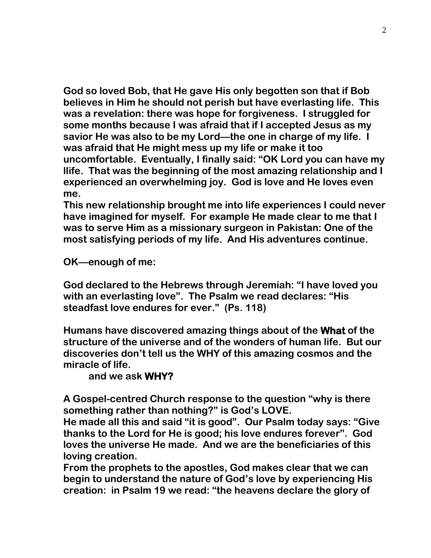**God so loved Bob, that He gave His only begotten son that if Bob believes in Him he should not perish but have everlasting life. This was a revelation: there was hope for forgiveness. I struggled for some months because I was afraid that if I accepted Jesus as my savior He was also to be my Lord—the one in charge of my life. I was afraid that He might mess up my life or make it too uncomfortable. Eventually, I finally said: "OK Lord you can have my llife. That was the beginning of the most amazing relationship and I experienced an overwhelming joy. God is love and He loves even me.**

**This new relationship brought me into life experiences I could never have imagined for myself. For example He made clear to me that I was to serve Him as a missionary surgeon in Pakistan: One of the most satisfying periods of my life. And His adventures continue.**

**OK—enough of me:**

**God declared to the Hebrews through Jeremiah: "I have loved you with an everlasting love". The Psalm we read declares: "His steadfast love endures for ever." (Ps. 118)**

**Humans have discovered amazing things about of the What of the structure of the universe and of the wonders of human life. But our discoveries don't tell us the WHY of this amazing cosmos and the miracle of life.** 

## **and we ask WHY?**

**A Gospel-centred Church response to the question "why is there something rather than nothing?" is God's LOVE.** 

**He made all this and said "it is good". Our Psalm today says: "Give thanks to the Lord for He is good; his love endures forever". God loves the universe He made. And we are the beneficiaries of this loving creation.**

**From the prophets to the apostles, God makes clear that we can begin to understand the nature of God's love by experiencing His creation: in Psalm 19 we read: "the heavens declare the glory of**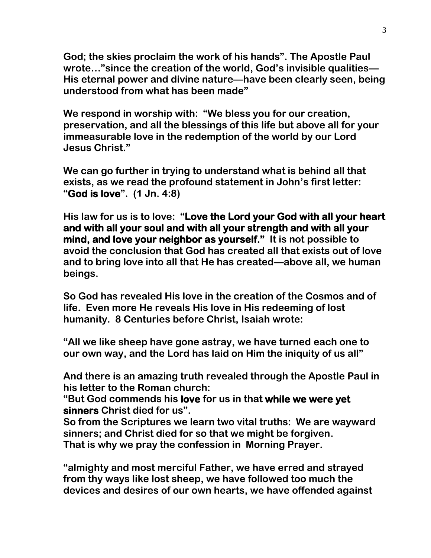**God; the skies proclaim the work of his hands". The Apostle Paul wrote…"since the creation of the world, God's invisible qualities— His eternal power and divine nature—have been clearly seen, being understood from what has been made"**

**We respond in worship with: "We bless you for our creation, preservation, and all the blessings of this life but above all for your immeasurable love in the redemption of the world by our Lord Jesus Christ."**

**We can go further in trying to understand what is behind all that exists, as we read the profound statement in John's first letter: "God is love". (1 Jn. 4:8)** 

**His law for us is to love: "Love the Lord your God with all your heart and with all your soul and with all your strength and with all your mind, and love your neighbor as yourself." It is not possible to avoid the conclusion that God has created all that exists out of love and to bring love into all that He has created—above all, we human beings.**

**So God has revealed His love in the creation of the Cosmos and of life. Even more He reveals His love in His redeeming of lost humanity. 8 Centuries before Christ, Isaiah wrote:** 

**"All we like sheep have gone astray, we have turned each one to our own way, and the Lord has laid on Him the iniquity of us all"**

**And there is an amazing truth revealed through the Apostle Paul in his letter to the Roman church:** 

**"But God commends his love for us in that while we were yet sinners Christ died for us".**

**So from the Scriptures we learn two vital truths: We are wayward sinners; and Christ died for so that we might be forgiven. That is why we pray the confession in Morning Prayer.**

**"almighty and most merciful Father, we have erred and strayed from thy ways like lost sheep, we have followed too much the devices and desires of our own hearts, we have offended against**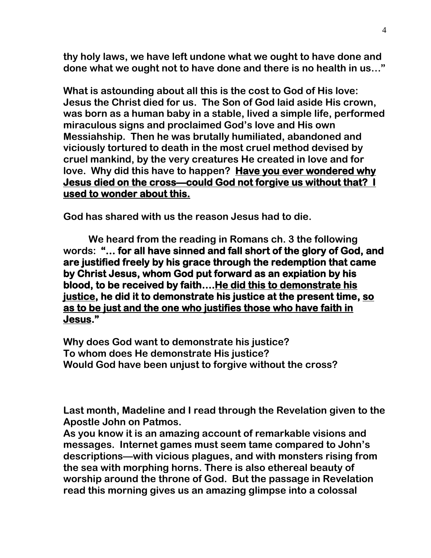**thy holy laws, we have left undone what we ought to have done and done what we ought not to have done and there is no health in us…"**

**What is astounding about all this is the cost to God of His love: Jesus the Christ died for us. The Son of God laid aside His crown, was born as a human baby in a stable, lived a simple life, performed miraculous signs and proclaimed God's love and His own Messiahship. Then he was brutally humiliated, abandoned and viciously tortured to death in the most cruel method devised by cruel mankind, by the very creatures He created in love and for love. Why did this have to happen? Have you ever wondered why Jesus died on the cross—could God not forgive us without that? I used to wonder about this.** 

**God has shared with us the reason Jesus had to die.**

**We heard from the reading in Romans ch. 3 the following words: "… for all have sinned and fall short of the glory of God, and are justified freely by his grace through the redemption that came by Christ Jesus, whom God put forward as an expiation by his blood, to be received by faith….He did this to demonstrate his justice, he did it to demonstrate his justice at the present time, so as to be just and the one who justifies those who have faith in Jesus."** 

**Why does God want to demonstrate his justice? To whom does He demonstrate His justice? Would God have been unjust to forgive without the cross?**

**Last month, Madeline and I read through the Revelation given to the Apostle John on Patmos.**

**As you know it is an amazing account of remarkable visions and messages. Internet games must seem tame compared to John's descriptions—with vicious plagues, and with monsters rising from the sea with morphing horns. There is also ethereal beauty of worship around the throne of God. But the passage in Revelation read this morning gives us an amazing glimpse into a colossal**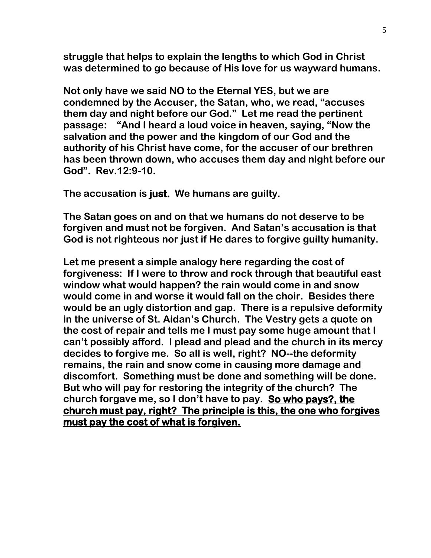**struggle that helps to explain the lengths to which God in Christ was determined to go because of His love for us wayward humans.** 

**Not only have we said NO to the Eternal YES, but we are condemned by the Accuser, the Satan, who, we read, "accuses them day and night before our God." Let me read the pertinent passage: "And I heard a loud voice in heaven, saying, "Now the salvation and the power and the kingdom of our God and the authority of his Christ have come, for the accuser of our brethren has been thrown down, who accuses them day and night before our God". Rev.12:9-10.** 

**The accusation is just. We humans are guilty.**

**The Satan goes on and on that we humans do not deserve to be forgiven and must not be forgiven. And Satan's accusation is that God is not righteous nor just if He dares to forgive guilty humanity.**

**Let me present a simple analogy here regarding the cost of forgiveness: If I were to throw and rock through that beautiful east window what would happen? the rain would come in and snow would come in and worse it would fall on the choir. Besides there would be an ugly distortion and gap. There is a repulsive deformity in the universe of St. Aidan's Church. The Vestry gets a quote on the cost of repair and tells me I must pay some huge amount that I can't possibly afford. I plead and plead and the church in its mercy decides to forgive me. So all is well, right? NO--the deformity remains, the rain and snow come in causing more damage and discomfort. Something must be done and something will be done. But who will pay for restoring the integrity of the church? The church forgave me, so I don't have to pay. So who pays?, the church must pay, right? The principle is this, the one who forgives must pay the cost of what is forgiven.**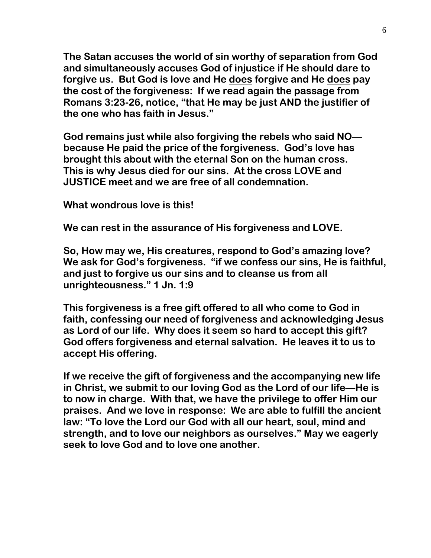**The Satan accuses the world of sin worthy of separation from God and simultaneously accuses God of injustice if He should dare to forgive us. But God is love and He does forgive and He does pay the cost of the forgiveness: If we read again the passage from Romans 3:23-26, notice, "that He may be just AND the justifier of the one who has faith in Jesus."**

**God remains just while also forgiving the rebels who said NO because He paid the price of the forgiveness. God's love has brought this about with the eternal Son on the human cross. This is why Jesus died for our sins. At the cross LOVE and JUSTICE meet and we are free of all condemnation.**

**What wondrous love is this!**

**We can rest in the assurance of His forgiveness and LOVE.** 

**So, How may we, His creatures, respond to God's amazing love? We ask for God's forgiveness. "if we confess our sins, He is faithful, and just to forgive us our sins and to cleanse us from all unrighteousness." 1 Jn. 1:9**

**This forgiveness is a free gift offered to all who come to God in faith, confessing our need of forgiveness and acknowledging Jesus as Lord of our life. Why does it seem so hard to accept this gift? God offers forgiveness and eternal salvation. He leaves it to us to accept His offering.**

**If we receive the gift of forgiveness and the accompanying new life in Christ, we submit to our loving God as the Lord of our life—He is to now in charge. With that, we have the privilege to offer Him our praises. And we love in response: We are able to fulfill the ancient law: "To love the Lord our God with all our heart, soul, mind and strength, and to love our neighbors as ourselves." May we eagerly seek to love God and to love one another.**